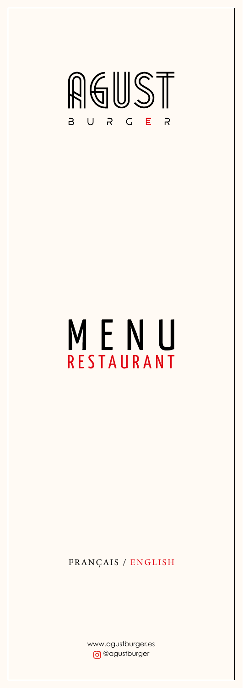

# MENU RESTAURANT

www.agustburger.es **o** @agustburger

#### FRANÇAIS / ENGLISH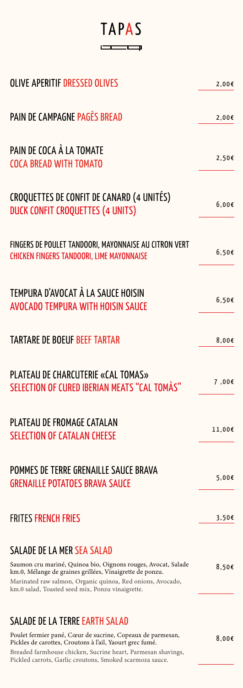### **TAPAS**  $\sqrt{2}$

| <b>OLIVE APERITIF DRESSED OLIVES</b>                                                                      | $2,00$ €        |
|-----------------------------------------------------------------------------------------------------------|-----------------|
| PAIN DE CAMPAGNE PAGÈS BREAD                                                                              | $2,00$ €        |
| PAIN DE COCA À LA TOMATE<br><b>COCA BREAD WITH TOMATO</b>                                                 | $2,50$ €        |
| CROQUETTES DE CONFIT DE CANARD (4 UNITÉS)<br><b>DUCK CONFIT CROQUETTES (4 UNITS)</b>                      | 6.00f           |
| FINGERS DE POULET TANDOORI, MAYONNAISE AU CITRON VERT<br><b>CHICKEN FINGERS TANDOORI, LIME MAYONNAISE</b> | $6,50$ €        |
| TEMPURA D'AVOCAT À LA SAUCE HOISIN<br><b>AVOCADO TEMPURA WITH HOISIN SAUCE</b>                            | $6,50$ €        |
| TARTARE DE BOEUF BEEF TARTAR                                                                              | $8,00$ €        |
| PLATEAU DE CHARCUTERIE «CAL TOMAS»<br>SELECTION OF CURED IBERIAN MEATS "CAL TOMÀS"                        | 7,00 $\epsilon$ |
| PLATEAU DE FROMAGE CATALAN<br><b>SELECTION OF CATALAN CHEESE</b>                                          | $11,00$ £       |
| POMMES DE TERRE GRENAILLE SAUCE BRAVA<br><b>GRENAILLE POTATOES BRAVA SAUCE</b>                            | 5,00€           |

#### FRITES FRENCH FRIES  $3.50 \in$



#### SALADE DE LA MER SEA SALAD

Saumon cru mariné, Quinoa bio, Oignons rouges, Avocat, Salade km.0, Mélange de graines grillées, Vinaigrette de ponzu.

Marinated raw salmon, Organic quinoa, Red onions, Avocado, km.0 salad, Toasted seed mix, Ponzu vinaigrette.

8,00€

#### SALADE DE LA TERRE EARTH SALAD

Poulet fermier pané, Cœur de sucrine, Copeaux de parmesan, Pickles de carottes, Croutons à l'ail, Yaourt grec fumé.

Breaded farmhouse chicken, Sucrine heart, Parmesan shavings, Pickled carrots, Garlic croutons, Smoked scarmoza sauce.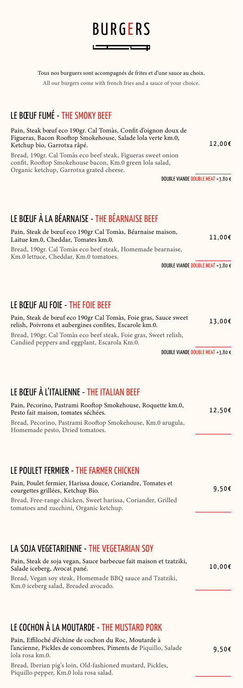

Tous nos burguers sont accompagnés de frites et d'une sauce au choix.

All our burgers come with french fries and a sauce of your choice.

12,00€

### LE BŒUF FUMÉ - THE SMOKY BEEF

Pain, Steak bœuf eco 190gr. Cal Tomàs, Confit d'oignon doux de Figueras, Bacon Rooftop Smokehouse, Salade lola verte km.0, Ketchup bio, Garrotxa râpé.

Bread, 190gr. Cal Tomàs eco beef steak, Figueras sweet onion confit, Rooftop Smokehouse bacon, Km.0 green lola salad, Organic ketchup, Garrotxa grated cheese.

DOUBLE VIANDE DOUBLE MEAT +3,80 €

### LE BŒUF À L'ITALIENNE - THE ITALIAN BEEF

| Pain, Pecorino, Pastrami Rooftop Smokehouse, Roquette km.0,<br>Pesto fait maison, tomates séchées. | 12,50€ |
|----------------------------------------------------------------------------------------------------|--------|
| Bread, Pecorino, Pastrami Rooftop Smokehouse, Km.0 arugula,<br>Homemade pesto, Dried tomatoes.     |        |

9,50€

#### LE POULET FERMIER - THE FARMER CHICKEN

Pain, Poulet fermier, Harissa douce, Coriandre, Tomates et courgettes grillées, Ketchup Bio.

Bread, Free-range chicken, Sweet harissa, Coriander, Grilled tomatoes and zucchini, Organic ketchup.

13,00€ Pain, Steak de bœuf eco 190gr Cal Tomàs, Foie gras, Sauce sweet relish, Poivrons et aubergines confites, Escarole km.0. Bread, 190gr. Cal Tomàs eco beef steak, Foie gras, Sweet relish, Candied peppers and eggplant, Escarola Km.0.

10,00€

#### LA SOJA VEGETARIENNE - THE VEGETARIAN SOY

Pain, Steak de soja vegan, Sauce barbecue fait maison et tzatziki, Salade iceberg, Avocat pané.

9,50€

Bread, Vegan soy steak, Homemade BBQ sauce and Tzatziki, Km.0 iceberg salad, Breaded avocado.

#### LE COCHON À LA MOUTARDE - THE MUSTARD PORK

Pain, Effiloché d'échine de cochon du Roc, Moutarde à l'ancienne, Pickles de concombres, Piments de Piquillo, Salade lola rosa km.0.

Bread, Iberian pig's loin, Old-fashioned mustard, Pickles, Piquillo pepper, Km.0 lola rosa salad.

### LE BŒUF À LA BÉARNAISE - THE BÉARNAISE BEEF

| Pain, Steak de bœuf eco 190gr Cal Tomàs, Béarnaise maison,<br>Laitue km.0, Cheddar, Tomates km.0.    | $11.00\epsilon$ |
|------------------------------------------------------------------------------------------------------|-----------------|
| Bread, 190gr. Cal Tomàs eco beef steak, Homemade bearnaise,<br>Km.0 lettuce, Cheddar, Km.0 tomatoes. |                 |

DOUBLE VIANDE DOUBLE MEAT +3,80 €

#### LE BŒUF AU FOIE - THE FOIE BEEF

DOUBLE VIANDE DOUBLE MEAT +3,80 €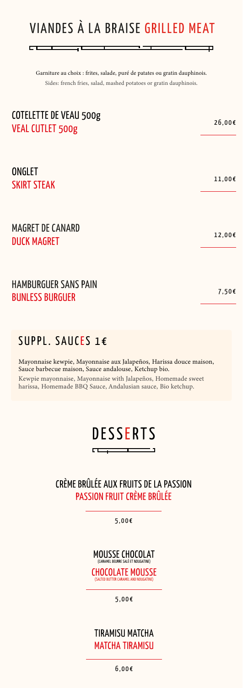

### CRÈME BRÛLÉE AUX FRUITS DE LA PASSION PASSION FRUIT CRÈME BRÛLÉE

5,00€

#### TIRAMISU MATCHA MATCHA TIRAMISU

6,00€



CHOCOLATE MOUSSE (SALTED BUTTER CARAMEL AND NOUGATINE)

5,00€



Д

Garniture au choix : frites, salade, puré de patates ou gratin dauphinois. Sides: french fries, salad, mashed potatoes or gratin dauphinois.

### HAMBURGUER SANS PAIN BUNLESS BURGUER 7,50€

 $\Box$ 

### SUPPL. SAUCES 1€

Mayonnaise kewpie, Mayonnaise aux Jalapeños, Harissa douce maison, Sauce barbecue maison, Sauce andalouse, Ketchup bio.

Kewpie mayonnaise, Mayonnaise with Jalapeños, Homemade sweet harissa, Homemade BBQ Sauce, Andalusian sauce, Bio ketchup.

| <b>COTELETTE DE VEAU 500g</b><br><b>VEAL CUTLET 500g</b> | 26,00€    |
|----------------------------------------------------------|-----------|
| ONGLET<br><b>SKIRT STEAK</b>                             | $11,00$ € |
| <b>MAGRET DE CANARD</b><br><b>DUCK MAGRET</b>            | 12,00€    |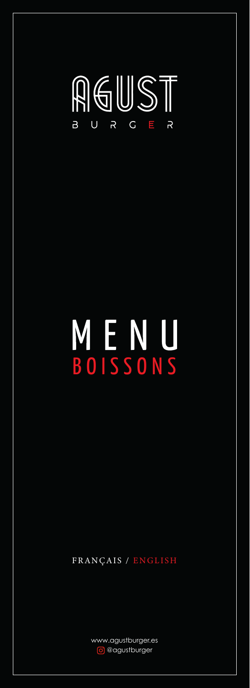#### RGUST  $\blacksquare$  $\overline{G}$  $\overline{R}$  $\overline{R}$  $\bigcup$  $\overline{B}$

# MENU BOISSONS

#### FRANÇAIS / ENGLISH

www.agustburger.es o @agustburger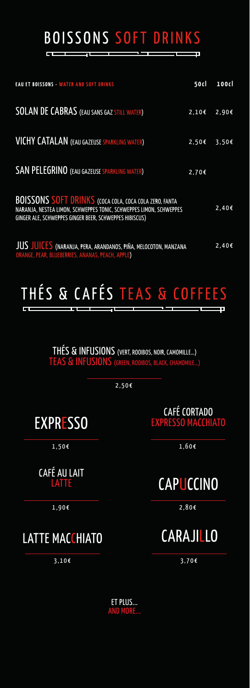BOISSONS SOFT DRINKS

F

### THÉS & CAFÉS TEAS & COFFEES F

ET PLUS... AND MORE...

CAFÉ AU LAIT **LATTE** 

THÉS & INFUSIONS (VERT, ROOIBOS, NOIR, CAMOMILLE…) TEAS & INFUSIONS (GREEN, ROOIBOS, BLACK, CHAMOMILE…)

2,50€

CAFÉ CORTADO EXPRESSO MACCHIATO

1,60€

### **CAPUCCINO**

EXPRESSO

1,50€

| <b>EAU ET BOISSONS - WATER AND SOFT DRINKS</b>                                                                                                                                                | 50cl     | 100cl          |
|-----------------------------------------------------------------------------------------------------------------------------------------------------------------------------------------------|----------|----------------|
| <b>SOLAN DE CABRAS</b> (EAU SANS GAZ STILL WATER)                                                                                                                                             |          | $2,10€$ 2,90€  |
| <b>VICHY CATALAN</b> (EAU GAZEUSE SPARKLING WATER)                                                                                                                                            |          | $2,50$ € 3,50€ |
| <b>SAN PELEGRINO (EAU GAZEUSE SPARKLING WATER)</b>                                                                                                                                            | $2,70$ € |                |
| <b>BOISSONS SOFT DRINKS</b> (COCA COLA, COCA COLA ZERO, FANTA<br>NARANJA, NESTEA LIMON, SCHWEPPES TONIC, SCHWEPPES LIMON, SCHWEPPES<br>GINGER ALE, SCHWEPPES GINGER BEER, SCHWEPPES HIBISCUS) |          | $2,40$ €       |
| JUS JUICES (NARANJA, PERA, ARANDANOS, PIÑA, MELOCOTON, MANZANA<br>ORANGE, PEAR, BLUEBERRIES, ANANAS, PEACH, APPLE)                                                                            |          | $2,40$ €       |

### CARAJILLO

3,70€

### LATTE MACCHIATO

3,10€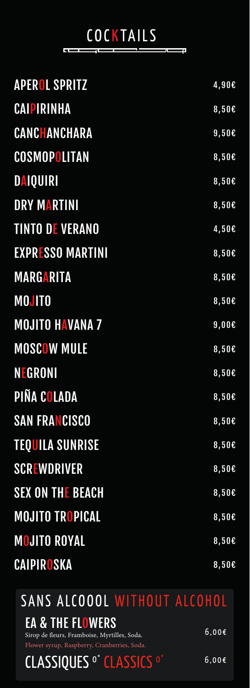#### SANS ALCOOOL WITHOUT ALCOHOL EA & THE FLOWERS CLASSIQUES<sup>o°</sup> CLASSICS<sup>O°</sup> 6,00€ 6,00€ Sirop de fleurs, Framboise, Myrtilles, Soda. Flower syrup, Raspberry, Cranberries, Soda.

#### COCKTAILS <u>in general p</u> **Let be a series of the contract**

| <b>APEROL SPRITZ</b>    | 4,90€    |
|-------------------------|----------|
| <b>CAIPIRINHA</b>       | $8,50$ € |
| CANCHANCHARA            | $9,50$ € |
| COSMOPOLITAN            | $8,50$ € |
| <b>DAIQUIRI</b>         | $8,50$ € |
| <b>DRY MARTINI</b>      | $8,50$ € |
| <b>TINTO DE VERANO</b>  | $4,50$ £ |
| <b>EXPRESSO MARTINI</b> | $8,50$ € |
| <b>MARGARITA</b>        | $8,50$ € |
| <b>MOJITO</b>           | $8,50$ € |
| <b>MOJITO HAVANA 7</b>  | $9,00$ € |
| <b>MOSCOW MULE</b>      | 8,50E    |
| <b>NEGRONI</b>          | 8,50E    |
| PIÑA COLADA             | 8,50E    |
| <b>SAN FRANCISCO</b>    | 8,50E    |
| <b>TEQUILA SUNRISE</b>  | 8,50E    |
| <b>SCREWDRIVER</b>      | 8,50E    |
| <b>SEX ON THE BEACH</b> | $8,50$ € |
|                         |          |

## MOJITO TROPICAL 8,50€ MOJITO ROYAL 8,50€

### CAIPIROSKA 8,50€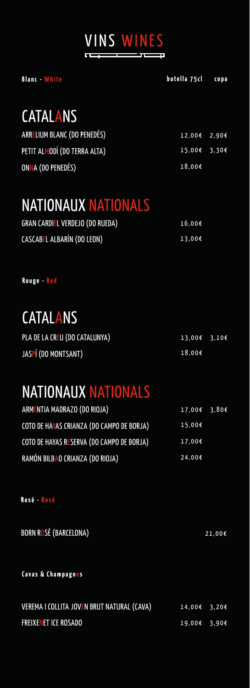

| <b>GRAN CARDIEL VERDEJO (DO RUEDA)</b> | 16,00€          |
|----------------------------------------|-----------------|
| CASCABEL ALBARÍN (DO LEON)             | $13.00\epsilon$ |

### NATIONAUX NATIONALS

### CATALANS

| ARRELIUM BLANC (DO PENEDÉS)  | $12,00$ $\epsilon$ $2,90$ $\epsilon$ |  |
|------------------------------|--------------------------------------|--|
| PETIT ALMODÍ (DO TERRA ALTA) | 15,00€ 3,30€                         |  |
| ONNA (DO PENEDÉS)            | 18,00€                               |  |

Rouge - Red

### NATIONAUX NATIONALS

| ARMENTIA MADRAZO (DO RIOJA)               | $17,00$ <b>t</b> 3,80 <b>t</b> |  |
|-------------------------------------------|--------------------------------|--|
| COTO DE HAYAS CRIANZA (DO CAMPO DE BORJA) | $15,00$ €                      |  |
| COTO DE HAYAS RESERVA (DO CAMPO DE BORJA) | 17,00€                         |  |
| RAMÓN BILBAO CRIANZA (DO RIOJA)           | 24,00€                         |  |

| PLA DE LA CREU (DO CATALUNYA) | $13.00€$ 3.10€ |  |
|-------------------------------|----------------|--|
| JASPÍ (DO MONTSANT)           | 18.00€         |  |

### CATALANS

### BORN ROSÉ (BARCELONA) 21,00€

#### Cavas & Champagnes

| VEREMA I COLLITA JOVEN BRUT NATURAL (CAVA) | $14.00€$ 3.20€ |  |
|--------------------------------------------|----------------|--|
| <b>FREIXENET ICE ROSADO</b>                | $19.00€$ 3.90€ |  |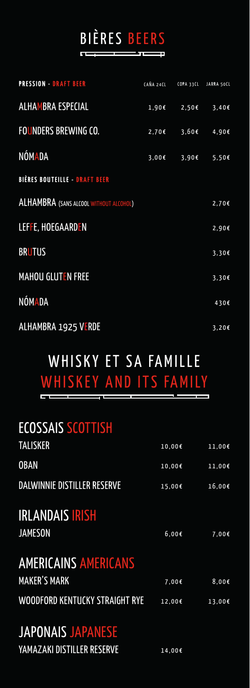## BIÈRES BEERS

## WHISKY ET SA FAMILLE WHISKEY AND ITS FAMILY

| <b>PRESSION - DRAFT BEER</b>                  | CAÑA 24CL |                        | COPA 33CL JARRA 50CL |
|-----------------------------------------------|-----------|------------------------|----------------------|
| <b>ALHAMBRA ESPECIAL</b>                      |           | 1,90€ 2,50€ 3,40€      |                      |
| <b>FOUNDERS BREWING CO.</b>                   |           | $2,70$ € 3,60 € 4,90 € |                      |
| <b>NÓMADA</b>                                 |           | 3,00€ 3,90€ 5,50€      |                      |
| <b>BIÈRES BOUTEILLE - DRAFT BEER</b>          |           |                        |                      |
| <b>ALHAMBRA</b> (SANS ALCOOL WITHOUT ALCOHOL) |           |                        | $2,70$ €             |
| LEFFE, HOEGAARDEN                             |           |                        | 2,90f                |
| <b>BRUTUS</b>                                 |           |                        | $3,30$ €             |
| <b>MAHOU GLUTEN FREE</b>                      |           |                        | $3,30$ €             |
| <b>NÓMADA</b>                                 |           |                        | 430€                 |
| <b>ALHAMBRA 1925 VERDE</b>                    |           |                        | $3,20$ €             |

### AMERICAINS AMERICANS MAKER'S MARK 7,00€ 8,00€

WOODFORD KENTUCKY STRAIGHT RYE 12,00€ 13,00€

### IRLANDAIS IRISH **JAMESON** 6,00€ 7,00€

### JAPONAIS JAPANESE YAMAZAKI DISTILLER RESERVE 14,00€

### ECOSSAIS SCOTTISH

| <b>TALISKER</b>             | $10,00$ € | $11,00$ $\epsilon$ |
|-----------------------------|-----------|--------------------|
| <b>OBAN</b>                 | $10,00$ € | $11,00$ €          |
| DALWINNIE DISTILLER RESERVE | $15,00$ € | 16,00€             |